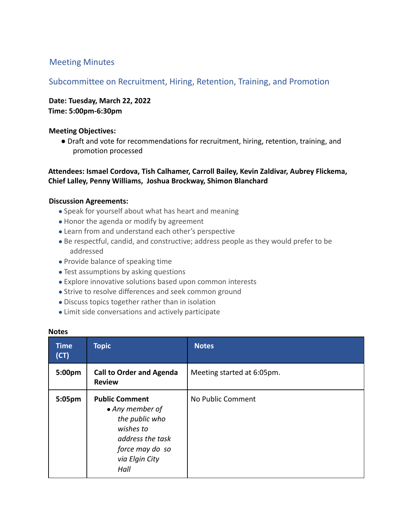# Meeting Minutes

# Subcommittee on Recruitment, Hiring, Retention, Training, and Promotion

**Date: Tuesday, March 22, 2022 Time: 5:00pm-6:30pm**

### **Meeting Objectives:**

● Draft and vote for recommendations for recruitment, hiring, retention, training, and promotion processed

## **Attendees: Ismael Cordova, Tish Calhamer, Carroll Bailey, Kevin Zaldivar, Aubrey Flickema, Chief Lalley, Penny Williams, Joshua Brockway, Shimon Blanchard**

#### **Discussion Agreements:**

- Speak for yourself about what has heart and meaning
- Honor the agenda or modify by agreement
- Learn from and understand each other's perspective
- Be respectful, candid, and constructive; address people as they would prefer to be addressed
- Provide balance of speaking time
- Test assumptions by asking questions
- Explore innovative solutions based upon common interests
- Strive to resolve differences and seek common ground
- Discuss topics together rather than in isolation
- Limit side conversations and actively participate

| <b>Time</b><br>(CT) | <b>Topic</b>                                                                                                                             | <b>Notes</b>               |
|---------------------|------------------------------------------------------------------------------------------------------------------------------------------|----------------------------|
| 5:00pm              | <b>Call to Order and Agenda</b><br><b>Review</b>                                                                                         | Meeting started at 6:05pm. |
| 5:05pm              | <b>Public Comment</b><br>• Any member of<br>the public who<br>wishes to<br>address the task<br>force may do so<br>via Elgin City<br>Hall | No Public Comment          |

#### **Notes**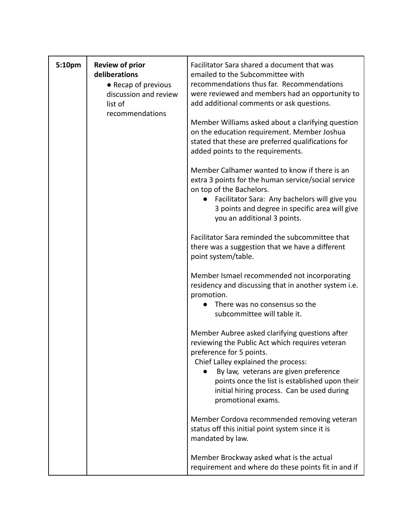| 5:10pm | <b>Review of prior</b><br>deliberations<br>• Recap of previous<br>discussion and review<br>list of<br>recommendations | Facilitator Sara shared a document that was<br>emailed to the Subcommittee with<br>recommendations thus far. Recommendations<br>were reviewed and members had an opportunity to<br>add additional comments or ask questions.                                                                                                        |
|--------|-----------------------------------------------------------------------------------------------------------------------|-------------------------------------------------------------------------------------------------------------------------------------------------------------------------------------------------------------------------------------------------------------------------------------------------------------------------------------|
|        |                                                                                                                       | Member Williams asked about a clarifying question<br>on the education requirement. Member Joshua<br>stated that these are preferred qualifications for<br>added points to the requirements.                                                                                                                                         |
|        |                                                                                                                       | Member Calhamer wanted to know if there is an<br>extra 3 points for the human service/social service<br>on top of the Bachelors.<br>Facilitator Sara: Any bachelors will give you<br>3 points and degree in specific area will give<br>you an additional 3 points.                                                                  |
|        |                                                                                                                       | Facilitator Sara reminded the subcommittee that<br>there was a suggestion that we have a different<br>point system/table.                                                                                                                                                                                                           |
|        |                                                                                                                       | Member Ismael recommended not incorporating<br>residency and discussing that in another system i.e.<br>promotion.<br>There was no consensus so the<br>subcommittee will table it.                                                                                                                                                   |
|        |                                                                                                                       | Member Aubree asked clarifying questions after<br>reviewing the Public Act which requires veteran<br>preference for 5 points.<br>Chief Lalley explained the process:<br>By law, veterans are given preference<br>points once the list is established upon their<br>initial hiring process. Can be used during<br>promotional exams. |
|        |                                                                                                                       | Member Cordova recommended removing veteran<br>status off this initial point system since it is<br>mandated by law.                                                                                                                                                                                                                 |
|        |                                                                                                                       | Member Brockway asked what is the actual<br>requirement and where do these points fit in and if                                                                                                                                                                                                                                     |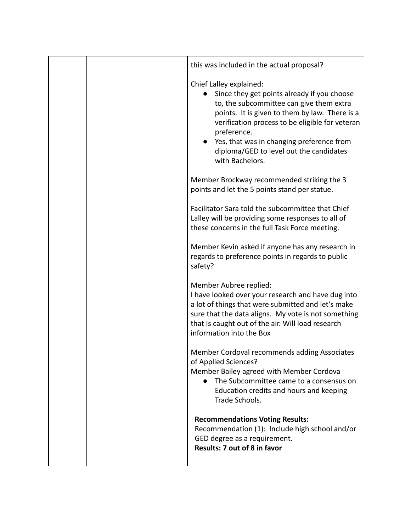| this was included in the actual proposal?                                                                                                                                                                                                                                                                                                         |
|---------------------------------------------------------------------------------------------------------------------------------------------------------------------------------------------------------------------------------------------------------------------------------------------------------------------------------------------------|
| Chief Lalley explained:<br>Since they get points already if you choose<br>to, the subcommittee can give them extra<br>points. It is given to them by law. There is a<br>verification process to be eligible for veteran<br>preference.<br>Yes, that was in changing preference from<br>diploma/GED to level out the candidates<br>with Bachelors. |
| Member Brockway recommended striking the 3<br>points and let the 5 points stand per statue.                                                                                                                                                                                                                                                       |
| Facilitator Sara told the subcommittee that Chief<br>Lalley will be providing some responses to all of<br>these concerns in the full Task Force meeting.                                                                                                                                                                                          |
| Member Kevin asked if anyone has any research in<br>regards to preference points in regards to public<br>safety?                                                                                                                                                                                                                                  |
| Member Aubree replied:<br>I have looked over your research and have dug into<br>a lot of things that were submitted and let's make<br>sure that the data aligns. My vote is not something<br>that Is caught out of the air. Will load research<br>information into the Box                                                                        |
| Member Cordoval recommends adding Associates<br>of Applied Sciences?<br>Member Bailey agreed with Member Cordova<br>The Subcommittee came to a consensus on<br>Education credits and hours and keeping<br>Trade Schools.                                                                                                                          |
| <b>Recommendations Voting Results:</b><br>Recommendation (1): Include high school and/or<br>GED degree as a requirement.<br><b>Results: 7 out of 8 in favor</b>                                                                                                                                                                                   |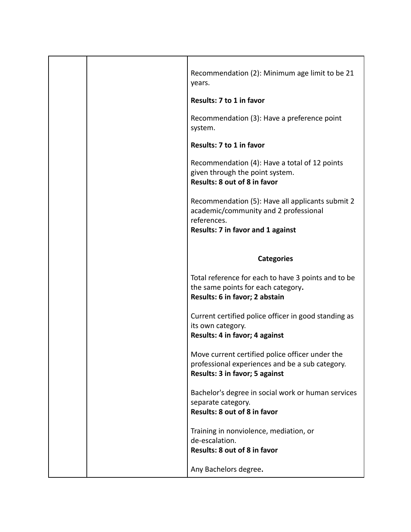|  | Recommendation (2): Minimum age limit to be 21<br>years.                                                                                      |
|--|-----------------------------------------------------------------------------------------------------------------------------------------------|
|  | Results: 7 to 1 in favor                                                                                                                      |
|  | Recommendation (3): Have a preference point<br>system.                                                                                        |
|  | Results: 7 to 1 in favor                                                                                                                      |
|  | Recommendation (4): Have a total of 12 points<br>given through the point system.<br>Results: 8 out of 8 in favor                              |
|  | Recommendation (5): Have all applicants submit 2<br>academic/community and 2 professional<br>references.<br>Results: 7 in favor and 1 against |
|  |                                                                                                                                               |
|  | <b>Categories</b>                                                                                                                             |
|  | Total reference for each to have 3 points and to be<br>the same points for each category.<br>Results: 6 in favor; 2 abstain                   |
|  | Current certified police officer in good standing as<br>its own category.<br>Results: 4 in favor; 4 against                                   |
|  | Move current certified police officer under the<br>professional experiences and be a sub category.<br>Results: 3 in favor; 5 against          |
|  | Bachelor's degree in social work or human services<br>separate category.<br>Results: 8 out of 8 in favor                                      |
|  | Training in nonviolence, mediation, or<br>de-escalation.<br>Results: 8 out of 8 in favor                                                      |
|  |                                                                                                                                               |